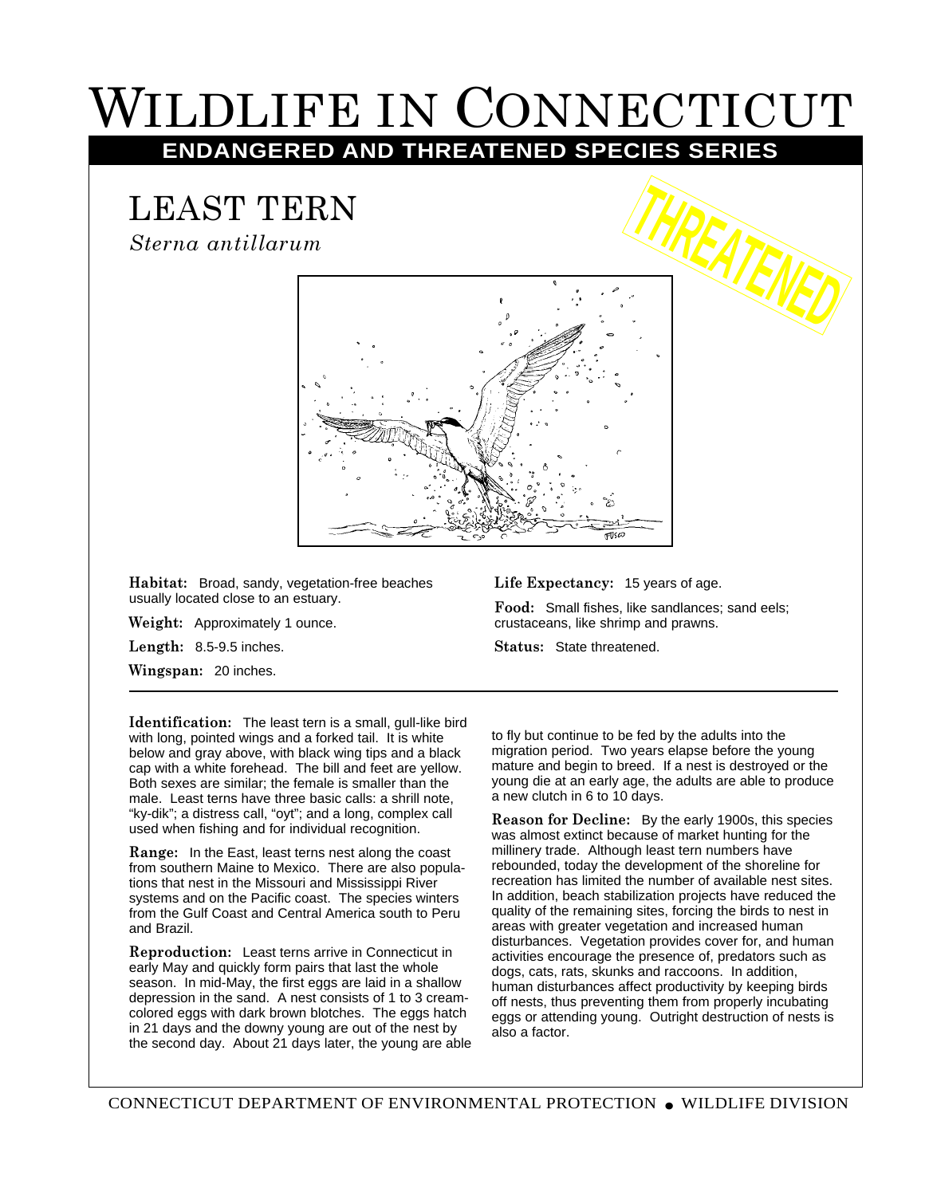## WILDLIFE IN CONNECTICUT **ENDANGERED AND THREATENED SPECIES SERIES**

## LEAST TERN

*Sterna antillarum*



**Habitat:** Broad, sandy, vegetation-free beaches usually located close to an estuary.

**Weight:** Approximately 1 ounce.

**Length:** 8.5-9.5 inches.

**Wingspan:** 20 inches.

**Identification:** The least tern is a small, gull-like bird with long, pointed wings and a forked tail. It is white below and gray above, with black wing tips and a black cap with a white forehead. The bill and feet are yellow. Both sexes are similar; the female is smaller than the male. Least terns have three basic calls: a shrill note, "ky-dik"; a distress call, "oyt"; and a long, complex call used when fishing and for individual recognition.

**Range:** In the East, least terns nest along the coast from southern Maine to Mexico. There are also populations that nest in the Missouri and Mississippi River systems and on the Pacific coast. The species winters from the Gulf Coast and Central America south to Peru and Brazil.

**Reproduction:** Least terns arrive in Connecticut in early May and quickly form pairs that last the whole season. In mid-May, the first eggs are laid in a shallow depression in the sand. A nest consists of 1 to 3 creamcolored eggs with dark brown blotches. The eggs hatch in 21 days and the downy young are out of the nest by the second day. About 21 days later, the young are able

## **Life Expectancy:** 15 years of age.

**Food:** Small fishes, like sandlances; sand eels; crustaceans, like shrimp and prawns.

**Status:** State threatened.

to fly but continue to be fed by the adults into the migration period. Two years elapse before the young mature and begin to breed. If a nest is destroyed or the young die at an early age, the adults are able to produce a new clutch in 6 to 10 days.

**Reason for Decline:** By the early 1900s, this species was almost extinct because of market hunting for the millinery trade. Although least tern numbers have rebounded, today the development of the shoreline for recreation has limited the number of available nest sites. In addition, beach stabilization projects have reduced the quality of the remaining sites, forcing the birds to nest in areas with greater vegetation and increased human disturbances. Vegetation provides cover for, and human activities encourage the presence of, predators such as dogs, cats, rats, skunks and raccoons. In addition, human disturbances affect productivity by keeping birds off nests, thus preventing them from properly incubating eggs or attending young. Outright destruction of nests is also a factor.